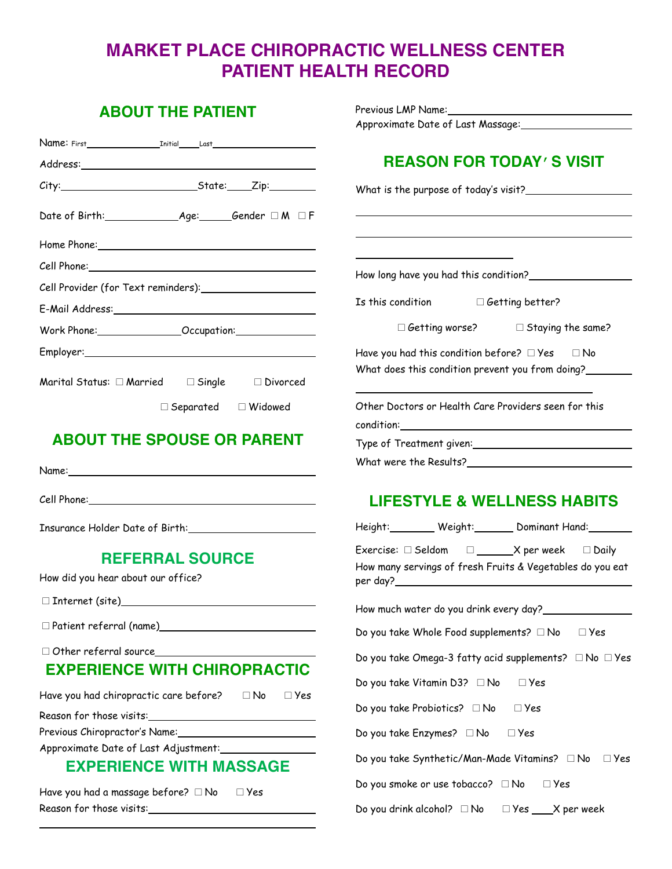# **MARKET PLACE CHIROPRACTIC WELLNESS CENTER PATIENT HEALTH RECORD**

| <b>ABOUT THE PATIENT</b>                                                                                        |                                                                                                                     |
|-----------------------------------------------------------------------------------------------------------------|---------------------------------------------------------------------------------------------------------------------|
|                                                                                                                 |                                                                                                                     |
|                                                                                                                 |                                                                                                                     |
|                                                                                                                 | <b>REASON FOR TODAY'S VISIT</b>                                                                                     |
|                                                                                                                 |                                                                                                                     |
|                                                                                                                 |                                                                                                                     |
|                                                                                                                 |                                                                                                                     |
|                                                                                                                 |                                                                                                                     |
|                                                                                                                 | How long have you had this condition?_________________                                                              |
|                                                                                                                 |                                                                                                                     |
|                                                                                                                 | $\Box$ Getting worse? $\Box$ Staying the same?                                                                      |
|                                                                                                                 | Have you had this condition before? $\Box$ Yes $\Box$ No                                                            |
| Marital Status: $\Box$ Married $\Box$ Single $\Box$ Divorced                                                    | What does this condition prevent you from doing?                                                                    |
| $\Box$ Separated $\Box$ Widowed                                                                                 | Other Doctors or Health Care Providers seen for this                                                                |
| <b>ABOUT THE SPOUSE OR PARENT</b>                                                                               |                                                                                                                     |
|                                                                                                                 |                                                                                                                     |
|                                                                                                                 |                                                                                                                     |
|                                                                                                                 | <b>LIFESTYLE &amp; WELLNESS HABITS</b>                                                                              |
| Insurance Holder Date of Birth: \\sqrtdgs\\sqrtdgs\sqrtdgs\sqrtdgs\sqrtdgs\sqrtdgs\sqrtdgs\sqrtdgs\sqrtdgs\sqrt | Height:_________ Weight:_______ Dominant Hand:________                                                              |
| <b>REFERRAL SOURCE</b>                                                                                          | Exercise: $\Box$ Seldom $\Box$ X per week $\Box$ Daily<br>How many servings of fresh Fruits & Vegetables do you eat |
| How did you hear about our office?                                                                              |                                                                                                                     |
|                                                                                                                 | How much water do you drink every day?                                                                              |
|                                                                                                                 | Do you take Whole Food supplements? □ No<br>$\Box$ Yes                                                              |
|                                                                                                                 | Do you take Omega-3 fatty acid supplements? □ No □ Yes                                                              |
| <b>EXPERIENCE WITH CHIROPRACTIC</b>                                                                             |                                                                                                                     |
| Have you had chiropractic care before? $\square$ No                                                             | Do you take Vitamin D3? □ No<br>$\Box$ Yes<br>© Yes                                                                 |
|                                                                                                                 | Do you take Probiotics? □ No<br>$\square$ Yes                                                                       |
| Previous Chiropractor's Name: 1988 1997                                                                         | Do you take Enzymes? □ No<br>$\square$ Yes                                                                          |
| Approximate Date of Last Adjustment:                                                                            |                                                                                                                     |
| <b>EXPERIENCE WITH MASSAGE</b>                                                                                  | Do you take Synthetic/Man-Made Vitamins? □ No □ Yes                                                                 |
| Have you had a massage before? □ No<br>$\square$ Yes                                                            | Do you smoke or use tobacco? $\Box$ No<br>$\square$ Yes                                                             |
|                                                                                                                 | Do you drink alcohol? $\Box$ No $\Box$ Yes $\Box$ X per week                                                        |